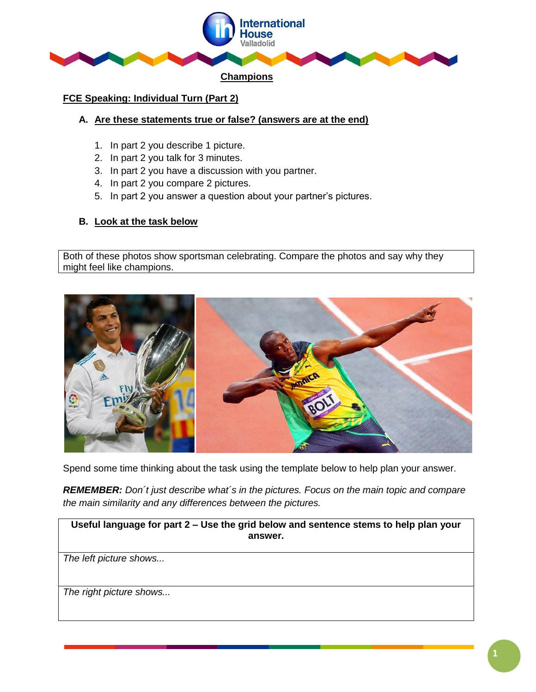

## **FCE Speaking: Individual Turn (Part 2)**

### **A. Are these statements true or false? (answers are at the end)**

- 1. In part 2 you describe 1 picture.
- 2. In part 2 you talk for 3 minutes.
- 3. In part 2 you have a discussion with you partner.
- 4. In part 2 you compare 2 pictures.
- 5. In part 2 you answer a question about your partner's pictures.

# **B. Look at the task below**

Both of these photos show sportsman celebrating. Compare the photos and say why they might feel like champions.



Spend some time thinking about the task using the template below to help plan your answer.

*REMEMBER: Don´t just describe what´s in the pictures. Focus on the main topic and compare the main similarity and any differences between the pictures.* 

**Useful language for part 2 – Use the grid below and sentence stems to help plan your answer.**

*The left picture shows...*

*The right picture shows...*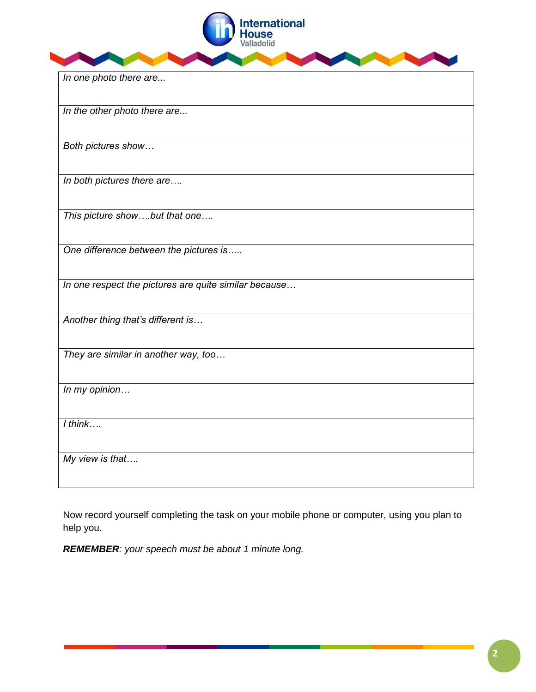

*In one photo there are...*

*In the other photo there are...*

*Both pictures show…*

*In both pictures there are….*

*This picture show….but that one….*

*One difference between the pictures is…..*

*In one respect the pictures are quite similar because…*

*Another thing that's different is…*

*They are similar in another way, too…*

*In my opinion…*

*I think….*

*My view is that….*

Now record yourself completing the task on your mobile phone or computer, using you plan to help you.

*REMEMBER: your speech must be about 1 minute long.*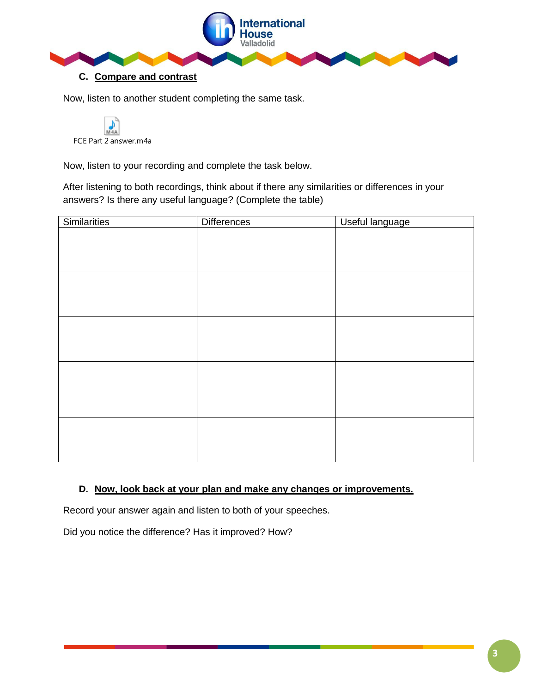

Now, listen to another student completing the same task.



Now, listen to your recording and complete the task below.

After listening to both recordings, think about if there any similarities or differences in your answers? Is there any useful language? (Complete the table)

| <b>Similarities</b> | <b>Differences</b> | Useful language |
|---------------------|--------------------|-----------------|
|                     |                    |                 |
|                     |                    |                 |
|                     |                    |                 |
|                     |                    |                 |
|                     |                    |                 |
|                     |                    |                 |
|                     |                    |                 |
|                     |                    |                 |
|                     |                    |                 |
|                     |                    |                 |
|                     |                    |                 |
|                     |                    |                 |
|                     |                    |                 |
|                     |                    |                 |

## **D. Now, look back at your plan and make any changes or improvements.**

Record your answer again and listen to both of your speeches.

Did you notice the difference? Has it improved? How?